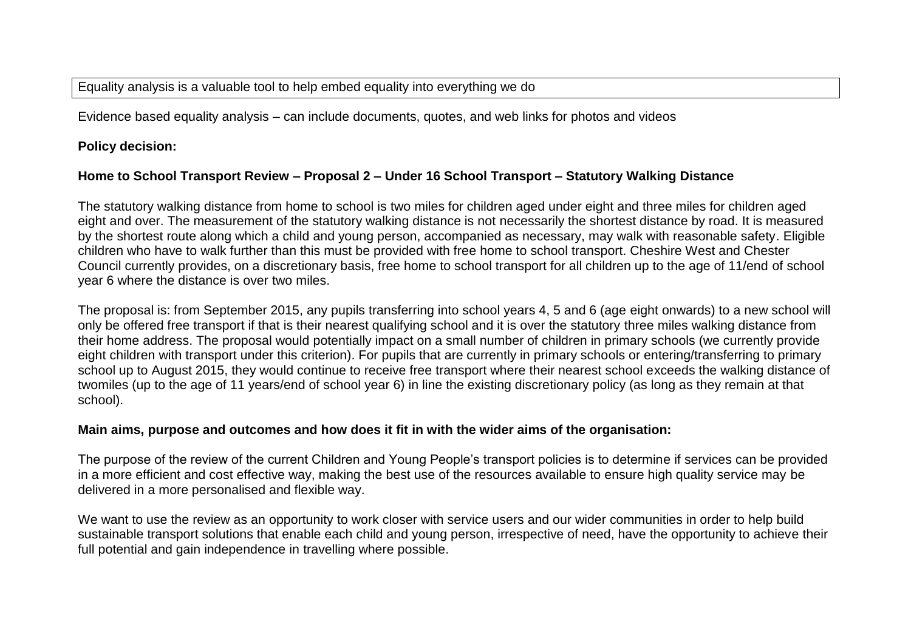Equality analysis is a valuable tool to help embed equality into everything we do

Evidence based equality analysis – can include documents, quotes, and web links for photos and videos

**Policy decision:** 

## **Home to School Transport Review – Proposal 2 – Under 16 School Transport – Statutory Walking Distance**

The statutory walking distance from home to school is two miles for children aged under eight and three miles for children aged eight and over. The measurement of the statutory walking distance is not necessarily the shortest distance by road. It is measured by the shortest route along which a child and young person, accompanied as necessary, may walk with reasonable safety. Eligible children who have to walk further than this must be provided with free home to school transport. Cheshire West and Chester Council currently provides, on a discretionary basis, free home to school transport for all children up to the age of 11/end of school year 6 where the distance is over two miles.

The proposal is: from September 2015, any pupils transferring into school years 4, 5 and 6 (age eight onwards) to a new school will only be offered free transport if that is their nearest qualifying school and it is over the statutory three miles walking distance from their home address. The proposal would potentially impact on a small number of children in primary schools (we currently provide eight children with transport under this criterion). For pupils that are currently in primary schools or entering/transferring to primary school up to August 2015, they would continue to receive free transport where their nearest school exceeds the walking distance of twomiles (up to the age of 11 years/end of school year 6) in line the existing discretionary policy (as long as they remain at that school).

## **Main aims, purpose and outcomes and how does it fit in with the wider aims of the organisation:**

The purpose of the review of the current Children and Young People's transport policies is to determine if services can be provided in a more efficient and cost effective way, making the best use of the resources available to ensure high quality service may be delivered in a more personalised and flexible way.

We want to use the review as an opportunity to work closer with service users and our wider communities in order to help build sustainable transport solutions that enable each child and young person, irrespective of need, have the opportunity to achieve their full potential and gain independence in travelling where possible.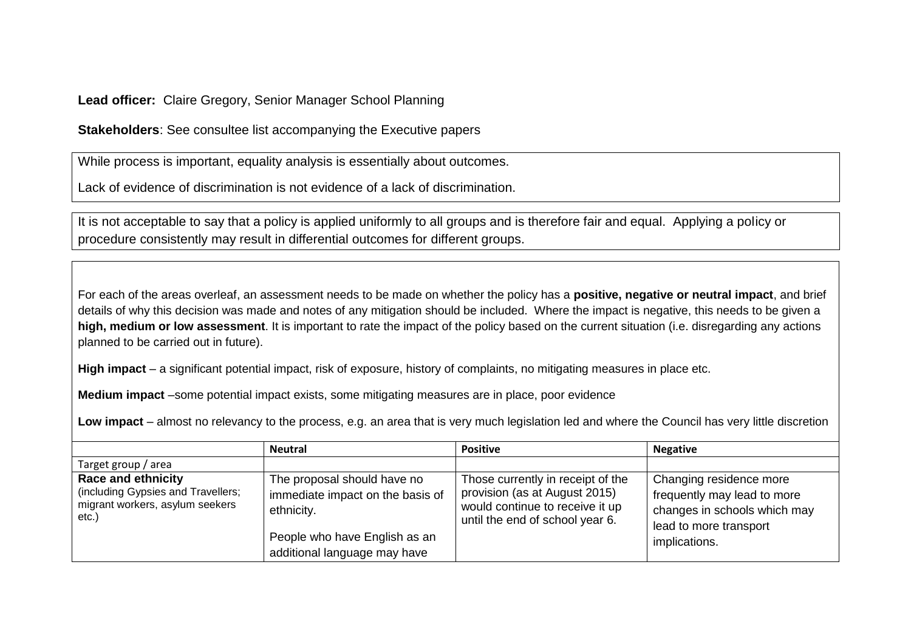**Lead officer:** Claire Gregory, Senior Manager School Planning

**Stakeholders**: See consultee list accompanying the Executive papers

While process is important, equality analysis is essentially about outcomes.

Lack of evidence of discrimination is not evidence of a lack of discrimination.

It is not acceptable to say that a policy is applied uniformly to all groups and is therefore fair and equal. Applying a policy or procedure consistently may result in differential outcomes for different groups.

For each of the areas overleaf, an assessment needs to be made on whether the policy has a **positive, negative or neutral impact**, and brief details of why this decision was made and notes of any mitigation should be included. Where the impact is negative, this needs to be given a **high, medium or low assessment**. It is important to rate the impact of the policy based on the current situation (i.e. disregarding any actions planned to be carried out in future).

**High impact** – a significant potential impact, risk of exposure, history of complaints, no mitigating measures in place etc.

**Medium impact** –some potential impact exists, some mitigating measures are in place, poor evidence

**Low impact** – almost no relevancy to the process, e.g. an area that is very much legislation led and where the Council has very little discretion

|                                                                                                             | <b>Neutral</b>                                                                                                                                 | <b>Positive</b>                                                                                                                          | <b>Negative</b>                                                                                                                   |
|-------------------------------------------------------------------------------------------------------------|------------------------------------------------------------------------------------------------------------------------------------------------|------------------------------------------------------------------------------------------------------------------------------------------|-----------------------------------------------------------------------------------------------------------------------------------|
| Target group / area                                                                                         |                                                                                                                                                |                                                                                                                                          |                                                                                                                                   |
| <b>Race and ethnicity</b><br>(including Gypsies and Travellers;<br>migrant workers, asylum seekers<br>etc.) | The proposal should have no<br>immediate impact on the basis of<br>ethnicity.<br>People who have English as an<br>additional language may have | Those currently in receipt of the<br>provision (as at August 2015)<br>would continue to receive it up<br>until the end of school year 6. | Changing residence more<br>frequently may lead to more<br>changes in schools which may<br>lead to more transport<br>implications. |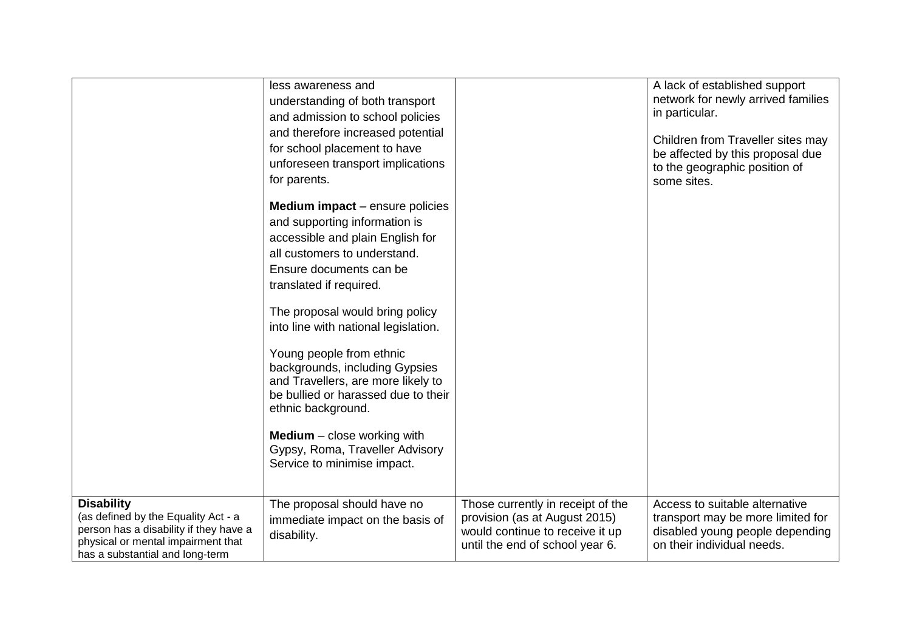|                                                                                                                                                                             | less awareness and<br>understanding of both transport<br>and admission to school policies<br>and therefore increased potential<br>for school placement to have<br>unforeseen transport implications<br>for parents. |                                                                                                                                          | A lack of established support<br>network for newly arrived families<br>in particular.<br>Children from Traveller sites may<br>be affected by this proposal due<br>to the geographic position of<br>some sites. |
|-----------------------------------------------------------------------------------------------------------------------------------------------------------------------------|---------------------------------------------------------------------------------------------------------------------------------------------------------------------------------------------------------------------|------------------------------------------------------------------------------------------------------------------------------------------|----------------------------------------------------------------------------------------------------------------------------------------------------------------------------------------------------------------|
|                                                                                                                                                                             | <b>Medium impact</b> – ensure policies<br>and supporting information is<br>accessible and plain English for<br>all customers to understand.<br>Ensure documents can be<br>translated if required.                   |                                                                                                                                          |                                                                                                                                                                                                                |
|                                                                                                                                                                             | The proposal would bring policy<br>into line with national legislation.                                                                                                                                             |                                                                                                                                          |                                                                                                                                                                                                                |
|                                                                                                                                                                             | Young people from ethnic<br>backgrounds, including Gypsies<br>and Travellers, are more likely to<br>be bullied or harassed due to their<br>ethnic background.                                                       |                                                                                                                                          |                                                                                                                                                                                                                |
|                                                                                                                                                                             | <b>Medium</b> $-$ close working with<br>Gypsy, Roma, Traveller Advisory<br>Service to minimise impact.                                                                                                              |                                                                                                                                          |                                                                                                                                                                                                                |
| <b>Disability</b><br>(as defined by the Equality Act - a<br>person has a disability if they have a<br>physical or mental impairment that<br>has a substantial and long-term | The proposal should have no<br>immediate impact on the basis of<br>disability.                                                                                                                                      | Those currently in receipt of the<br>provision (as at August 2015)<br>would continue to receive it up<br>until the end of school year 6. | Access to suitable alternative<br>transport may be more limited for<br>disabled young people depending<br>on their individual needs.                                                                           |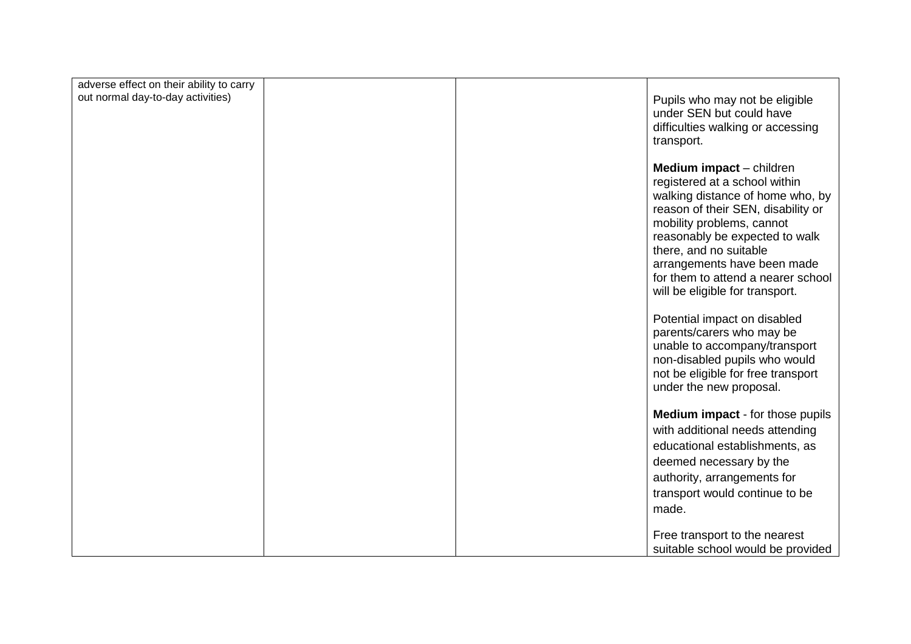| adverse effect on their ability to carry |  |                                                                                                                                                                                                                                                                                                                                                                                                          |
|------------------------------------------|--|----------------------------------------------------------------------------------------------------------------------------------------------------------------------------------------------------------------------------------------------------------------------------------------------------------------------------------------------------------------------------------------------------------|
| out normal day-to-day activities)        |  | Pupils who may not be eligible<br>under SEN but could have<br>difficulties walking or accessing<br>transport.                                                                                                                                                                                                                                                                                            |
|                                          |  | <b>Medium impact</b> – children<br>registered at a school within<br>walking distance of home who, by<br>reason of their SEN, disability or<br>mobility problems, cannot<br>reasonably be expected to walk<br>there, and no suitable<br>arrangements have been made<br>for them to attend a nearer school<br>will be eligible for transport.<br>Potential impact on disabled<br>parents/carers who may be |
|                                          |  | unable to accompany/transport<br>non-disabled pupils who would<br>not be eligible for free transport<br>under the new proposal.                                                                                                                                                                                                                                                                          |
|                                          |  | <b>Medium impact</b> - for those pupils                                                                                                                                                                                                                                                                                                                                                                  |
|                                          |  | with additional needs attending                                                                                                                                                                                                                                                                                                                                                                          |
|                                          |  | educational establishments, as                                                                                                                                                                                                                                                                                                                                                                           |
|                                          |  | deemed necessary by the                                                                                                                                                                                                                                                                                                                                                                                  |
|                                          |  | authority, arrangements for                                                                                                                                                                                                                                                                                                                                                                              |
|                                          |  | transport would continue to be                                                                                                                                                                                                                                                                                                                                                                           |
|                                          |  | made.                                                                                                                                                                                                                                                                                                                                                                                                    |
|                                          |  | Free transport to the nearest                                                                                                                                                                                                                                                                                                                                                                            |
|                                          |  | suitable school would be provided                                                                                                                                                                                                                                                                                                                                                                        |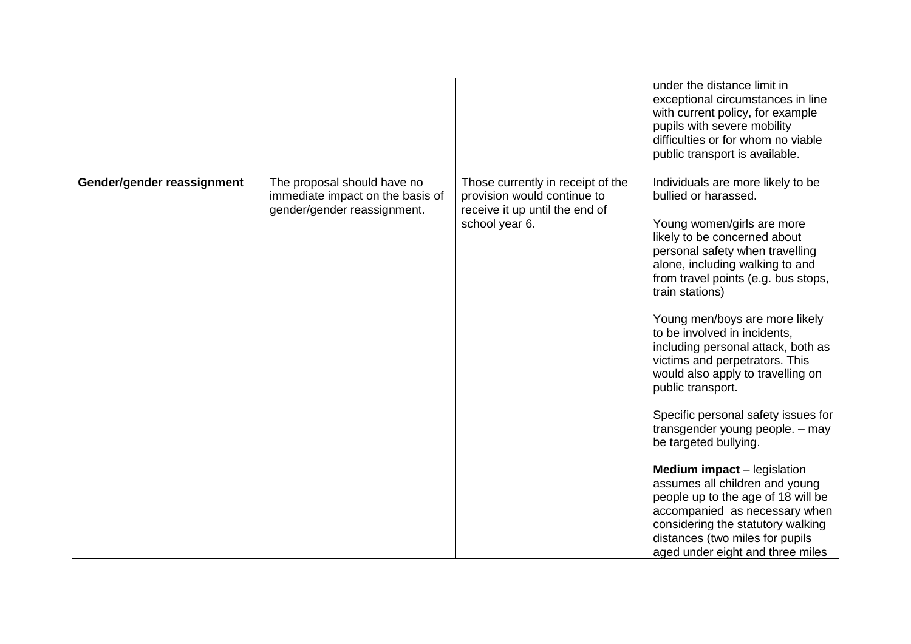|                            |                                                                                                |                                                                                                                      | under the distance limit in<br>exceptional circumstances in line<br>with current policy, for example<br>pupils with severe mobility<br>difficulties or for whom no viable<br>public transport is available.                                                                                                                                                                                                                                                                                                                                                                                                                                                                                                                                                                                                               |
|----------------------------|------------------------------------------------------------------------------------------------|----------------------------------------------------------------------------------------------------------------------|---------------------------------------------------------------------------------------------------------------------------------------------------------------------------------------------------------------------------------------------------------------------------------------------------------------------------------------------------------------------------------------------------------------------------------------------------------------------------------------------------------------------------------------------------------------------------------------------------------------------------------------------------------------------------------------------------------------------------------------------------------------------------------------------------------------------------|
| Gender/gender reassignment | The proposal should have no<br>immediate impact on the basis of<br>gender/gender reassignment. | Those currently in receipt of the<br>provision would continue to<br>receive it up until the end of<br>school year 6. | Individuals are more likely to be<br>bullied or harassed.<br>Young women/girls are more<br>likely to be concerned about<br>personal safety when travelling<br>alone, including walking to and<br>from travel points (e.g. bus stops,<br>train stations)<br>Young men/boys are more likely<br>to be involved in incidents,<br>including personal attack, both as<br>victims and perpetrators. This<br>would also apply to travelling on<br>public transport.<br>Specific personal safety issues for<br>transgender young people. - may<br>be targeted bullying.<br><b>Medium impact</b> – legislation<br>assumes all children and young<br>people up to the age of 18 will be<br>accompanied as necessary when<br>considering the statutory walking<br>distances (two miles for pupils<br>aged under eight and three miles |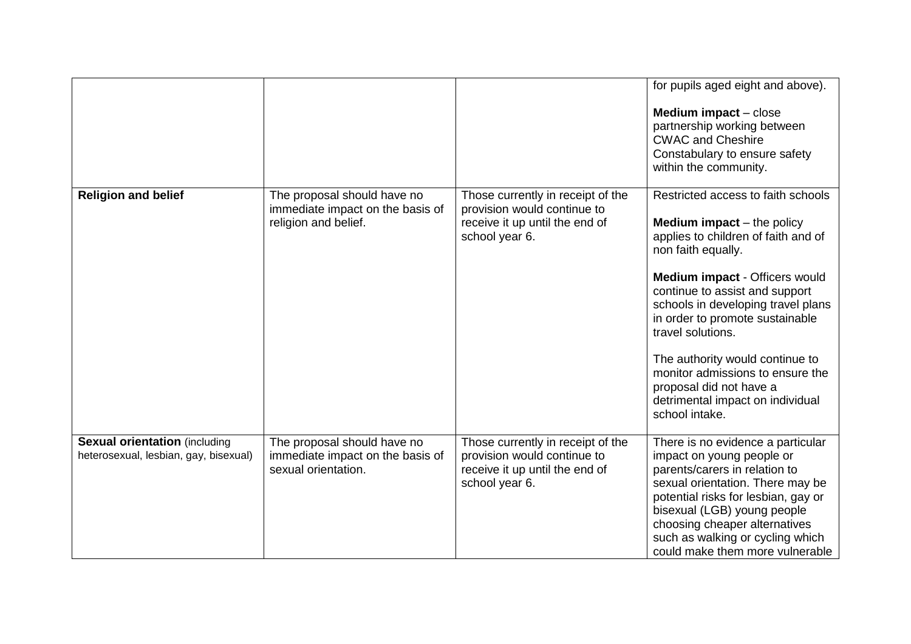|                                       |                                                         |                                                                                 | for pupils aged eight and above).                                                                                                                                                                                                         |
|---------------------------------------|---------------------------------------------------------|---------------------------------------------------------------------------------|-------------------------------------------------------------------------------------------------------------------------------------------------------------------------------------------------------------------------------------------|
|                                       |                                                         |                                                                                 | <b>Medium impact</b> – close                                                                                                                                                                                                              |
|                                       |                                                         |                                                                                 | partnership working between<br><b>CWAC and Cheshire</b>                                                                                                                                                                                   |
|                                       |                                                         |                                                                                 | Constabulary to ensure safety                                                                                                                                                                                                             |
|                                       |                                                         |                                                                                 | within the community.                                                                                                                                                                                                                     |
| <b>Religion and belief</b>            | The proposal should have no                             | Those currently in receipt of the                                               | Restricted access to faith schools                                                                                                                                                                                                        |
|                                       | immediate impact on the basis of                        | provision would continue to                                                     |                                                                                                                                                                                                                                           |
|                                       | religion and belief.                                    | receive it up until the end of<br>school year 6.                                | <b>Medium impact</b> $-$ the policy<br>applies to children of faith and of                                                                                                                                                                |
|                                       |                                                         |                                                                                 | non faith equally.                                                                                                                                                                                                                        |
|                                       |                                                         |                                                                                 | Medium impact - Officers would<br>continue to assist and support<br>schools in developing travel plans<br>in order to promote sustainable<br>travel solutions.                                                                            |
|                                       |                                                         |                                                                                 | The authority would continue to<br>monitor admissions to ensure the<br>proposal did not have a<br>detrimental impact on individual<br>school intake.                                                                                      |
| <b>Sexual orientation (including</b>  | The proposal should have no                             | Those currently in receipt of the                                               | There is no evidence a particular                                                                                                                                                                                                         |
| heterosexual, lesbian, gay, bisexual) | immediate impact on the basis of<br>sexual orientation. | provision would continue to<br>receive it up until the end of<br>school year 6. | impact on young people or<br>parents/carers in relation to<br>sexual orientation. There may be<br>potential risks for lesbian, gay or<br>bisexual (LGB) young people<br>choosing cheaper alternatives<br>such as walking or cycling which |
|                                       |                                                         |                                                                                 | could make them more vulnerable                                                                                                                                                                                                           |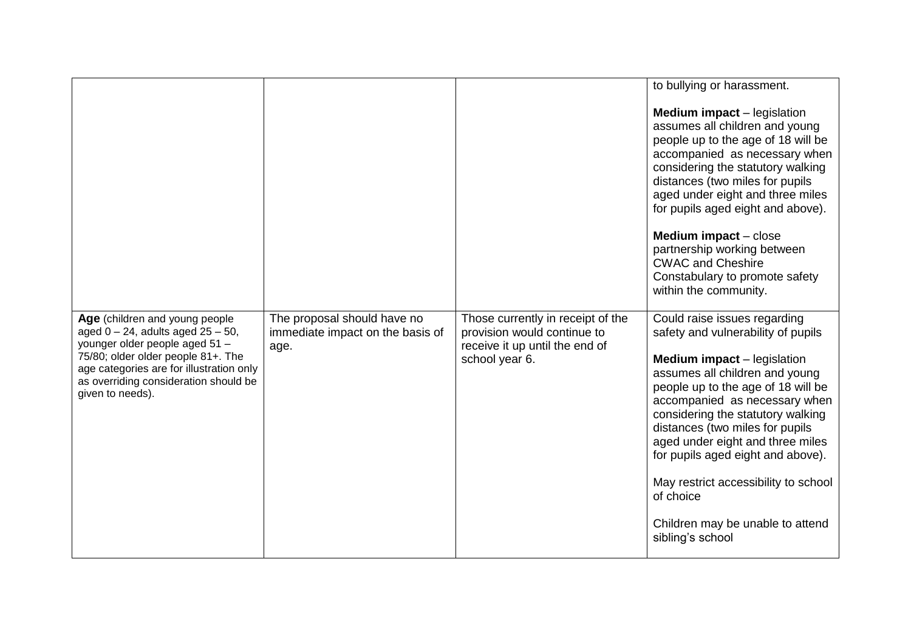|                                                                                                                                                                                                                                                            |                                                                         |                                                                                                                      | to bullying or harassment.                                                                                                                                                                                                                                                                                                                                                                                                                                                      |
|------------------------------------------------------------------------------------------------------------------------------------------------------------------------------------------------------------------------------------------------------------|-------------------------------------------------------------------------|----------------------------------------------------------------------------------------------------------------------|---------------------------------------------------------------------------------------------------------------------------------------------------------------------------------------------------------------------------------------------------------------------------------------------------------------------------------------------------------------------------------------------------------------------------------------------------------------------------------|
|                                                                                                                                                                                                                                                            |                                                                         |                                                                                                                      | <b>Medium impact</b> – legislation<br>assumes all children and young<br>people up to the age of 18 will be<br>accompanied as necessary when<br>considering the statutory walking<br>distances (two miles for pupils<br>aged under eight and three miles<br>for pupils aged eight and above).<br><b>Medium impact</b> $-$ close<br>partnership working between<br><b>CWAC and Cheshire</b>                                                                                       |
|                                                                                                                                                                                                                                                            |                                                                         |                                                                                                                      | Constabulary to promote safety<br>within the community.                                                                                                                                                                                                                                                                                                                                                                                                                         |
| Age (children and young people<br>aged $0 - 24$ , adults aged $25 - 50$ ,<br>younger older people aged 51 -<br>75/80; older older people 81+. The<br>age categories are for illustration only<br>as overriding consideration should be<br>given to needs). | The proposal should have no<br>immediate impact on the basis of<br>age. | Those currently in receipt of the<br>provision would continue to<br>receive it up until the end of<br>school year 6. | Could raise issues regarding<br>safety and vulnerability of pupils<br><b>Medium impact</b> – legislation<br>assumes all children and young<br>people up to the age of 18 will be<br>accompanied as necessary when<br>considering the statutory walking<br>distances (two miles for pupils<br>aged under eight and three miles<br>for pupils aged eight and above).<br>May restrict accessibility to school<br>of choice<br>Children may be unable to attend<br>sibling's school |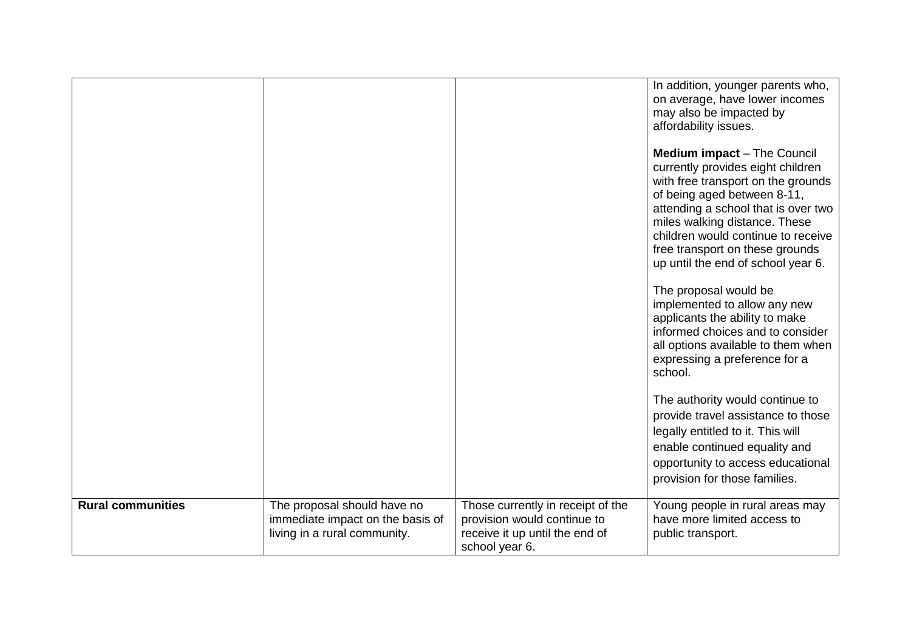|                          |                                                                                                 |                                                                                                                      | In addition, younger parents who,<br>on average, have lower incomes<br>may also be impacted by<br>affordability issues.<br><b>Medium impact</b> – The Council<br>currently provides eight children<br>with free transport on the grounds<br>of being aged between 8-11,<br>attending a school that is over two<br>miles walking distance. These<br>children would continue to receive<br>free transport on these grounds<br>up until the end of school year 6.<br>The proposal would be<br>implemented to allow any new |
|--------------------------|-------------------------------------------------------------------------------------------------|----------------------------------------------------------------------------------------------------------------------|-------------------------------------------------------------------------------------------------------------------------------------------------------------------------------------------------------------------------------------------------------------------------------------------------------------------------------------------------------------------------------------------------------------------------------------------------------------------------------------------------------------------------|
|                          |                                                                                                 |                                                                                                                      | applicants the ability to make<br>informed choices and to consider<br>all options available to them when<br>expressing a preference for a<br>school.<br>The authority would continue to<br>provide travel assistance to those<br>legally entitled to it. This will<br>enable continued equality and<br>opportunity to access educational<br>provision for those families.                                                                                                                                               |
| <b>Rural communities</b> | The proposal should have no<br>immediate impact on the basis of<br>living in a rural community. | Those currently in receipt of the<br>provision would continue to<br>receive it up until the end of<br>school year 6. | Young people in rural areas may<br>have more limited access to<br>public transport.                                                                                                                                                                                                                                                                                                                                                                                                                                     |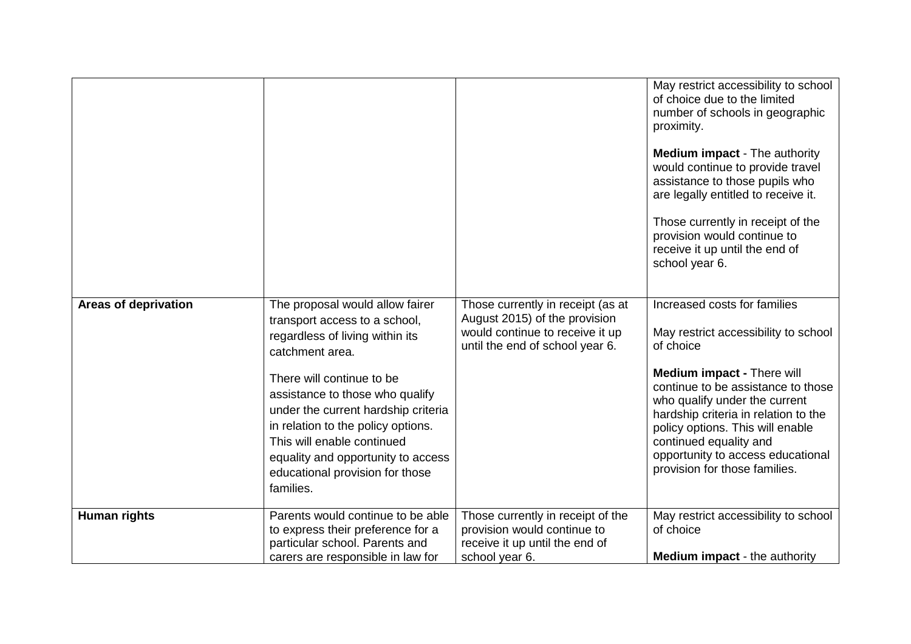|                             |                                                                                                                                                                                                                                                                                                                                                                                         |                                                                                                                                          | May restrict accessibility to school<br>of choice due to the limited<br>number of schools in geographic<br>proximity.<br><b>Medium impact - The authority</b><br>would continue to provide travel<br>assistance to those pupils who<br>are legally entitled to receive it.<br>Those currently in receipt of the<br>provision would continue to<br>receive it up until the end of<br>school year 6. |
|-----------------------------|-----------------------------------------------------------------------------------------------------------------------------------------------------------------------------------------------------------------------------------------------------------------------------------------------------------------------------------------------------------------------------------------|------------------------------------------------------------------------------------------------------------------------------------------|----------------------------------------------------------------------------------------------------------------------------------------------------------------------------------------------------------------------------------------------------------------------------------------------------------------------------------------------------------------------------------------------------|
| <b>Areas of deprivation</b> | The proposal would allow fairer<br>transport access to a school,<br>regardless of living within its<br>catchment area.<br>There will continue to be<br>assistance to those who qualify<br>under the current hardship criteria<br>in relation to the policy options.<br>This will enable continued<br>equality and opportunity to access<br>educational provision for those<br>families. | Those currently in receipt (as at<br>August 2015) of the provision<br>would continue to receive it up<br>until the end of school year 6. | Increased costs for families<br>May restrict accessibility to school<br>of choice<br><b>Medium impact - There will</b><br>continue to be assistance to those<br>who qualify under the current<br>hardship criteria in relation to the<br>policy options. This will enable<br>continued equality and<br>opportunity to access educational<br>provision for those families.                          |
| Human rights                | Parents would continue to be able<br>to express their preference for a<br>particular school. Parents and<br>carers are responsible in law for                                                                                                                                                                                                                                           | Those currently in receipt of the<br>provision would continue to<br>receive it up until the end of<br>school year 6.                     | May restrict accessibility to school<br>of choice<br><b>Medium impact</b> - the authority                                                                                                                                                                                                                                                                                                          |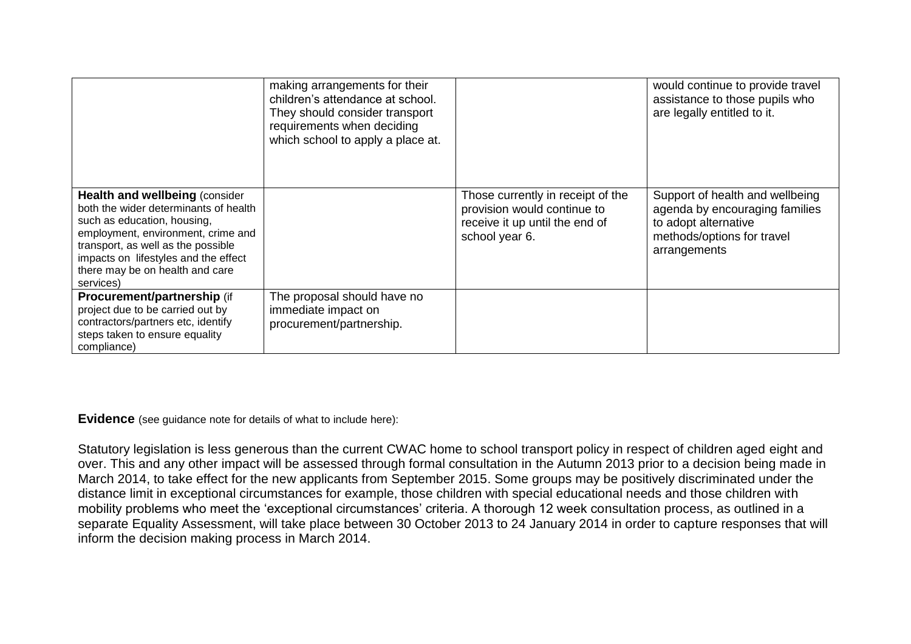|                                                                                                                                                                                                                                                                                    | making arrangements for their<br>children's attendance at school.<br>They should consider transport<br>requirements when deciding<br>which school to apply a place at. |                                                                                                                      | would continue to provide travel<br>assistance to those pupils who<br>are legally entitled to it.                                       |
|------------------------------------------------------------------------------------------------------------------------------------------------------------------------------------------------------------------------------------------------------------------------------------|------------------------------------------------------------------------------------------------------------------------------------------------------------------------|----------------------------------------------------------------------------------------------------------------------|-----------------------------------------------------------------------------------------------------------------------------------------|
| <b>Health and wellbeing (consider)</b><br>both the wider determinants of health<br>such as education, housing,<br>employment, environment, crime and<br>transport, as well as the possible<br>impacts on lifestyles and the effect<br>there may be on health and care<br>services) |                                                                                                                                                                        | Those currently in receipt of the<br>provision would continue to<br>receive it up until the end of<br>school year 6. | Support of health and wellbeing<br>agenda by encouraging families<br>to adopt alternative<br>methods/options for travel<br>arrangements |
| Procurement/partnership (if<br>project due to be carried out by<br>contractors/partners etc, identify<br>steps taken to ensure equality<br>compliance)                                                                                                                             | The proposal should have no<br>immediate impact on<br>procurement/partnership.                                                                                         |                                                                                                                      |                                                                                                                                         |

**Evidence** (see guidance note for details of what to include here):

Statutory legislation is less generous than the current CWAC home to school transport policy in respect of children aged eight and over. This and any other impact will be assessed through formal consultation in the Autumn 2013 prior to a decision being made in March 2014, to take effect for the new applicants from September 2015. Some groups may be positively discriminated under the distance limit in exceptional circumstances for example, those children with special educational needs and those children with mobility problems who meet the 'exceptional circumstances' criteria. A thorough 12 week consultation process, as outlined in a separate Equality Assessment, will take place between 30 October 2013 to 24 January 2014 in order to capture responses that will inform the decision making process in March 2014.